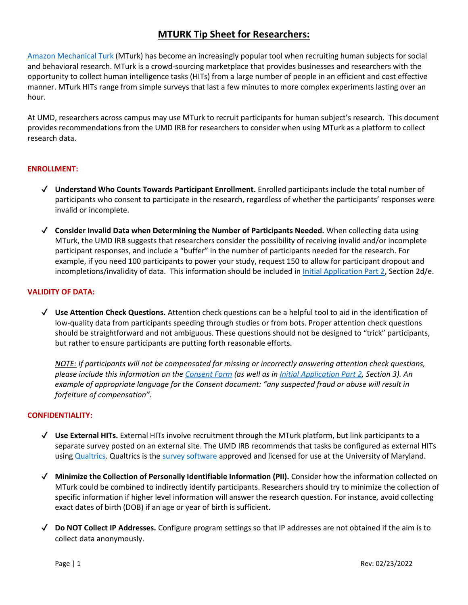# **MTURK Tip Sheet for Researchers:**

[Amazon Mechanical Turk](https://www.mturk.com/) (MTurk) has become an increasingly popular tool when recruiting human subjects for social and behavioral research. MTurk is a crowd-sourcing marketplace that provides businesses and researchers with the opportunity to collect human intelligence tasks (HITs) from a large number of people in an efficient and cost effective manner. MTurk HITs range from simple surveys that last a few minutes to more complex experiments lasting over an hour.

At UMD, researchers across campus may use MTurk to recruit participants for human subject's research. This document provides recommendations from the UMD IRB for researchers to consider when using MTurk as a platform to collect research data.

# **ENROLLMENT:**

- ✔ **Understand Who Counts Towards Participant Enrollment.** Enrolled participants include the total number of participants who consent to participate in the research, regardless of whether the participants' responses were invalid or incomplete.
- ✔ **Consider Invalid Data when Determining the Number of Participants Needed.** When collecting data using MTurk, the UMD IRB suggests that researchers consider the possibility of receiving invalid and/or incomplete participant responses, and include a "buffer" in the number of participants needed for the research. For example, if you need 100 participants to power your study, request 150 to allow for participant dropout and incompletions/invalidity of data. This information should be included in *Initial Application Part 2*, Section 2d/e.

#### **VALIDITY OF DATA:**

✔ **Use Attention Check Questions.** Attention check questions can be a helpful tool to aid in the identification of low-quality data from participants speeding through studies or from bots. Proper attention check questions should be straightforward and not ambiguous. These questions should not be designed to "trick" participants, but rather to ensure participants are putting forth reasonable efforts.

*NOTE: If participants will not be compensated for missing or incorrectly answering attention check questions, please include this information on the [Consent Form](https://research.umd.edu/research-resources/research-compliance/institutional-review-board-irb/irb-forms#consent) (as well as in [Initial Application Part 2,](https://research.umd.edu/research-resources/research-compliance/institutional-review-board-irb/irb-forms#initialapp) Section 3). An example of appropriate language for the Consent document: "any suspected fraud or abuse will result in forfeiture of compensation".*

#### **CONFIDENTIALITY:**

- ✔ **Use External HITs.** External HITs involve recruitment through the MTurk platform, but link participants to a separate survey posted on an external site. The UMD IRB recommends that tasks be configured as external HITs using [Qualtrics.](https://umdsurvey.umd.edu/) Qualtrics is th[e survey software](https://umd.service-now.com/itsupport?id=kb_article&sys_id=57cc11ba3703ca40a90963d2b3990e4e) approved and licensed for use at the University of Maryland.
- ✔ **Minimize the Collection of Personally Identifiable Information (PII).** Consider how the information collected on MTurk could be combined to indirectly identify participants. Researchers should try to minimize the collection of specific information if higher level information will answer the research question. For instance, avoid collecting exact dates of birth (DOB) if an age or year of birth is sufficient.
- ✔ **Do NOT Collect IP Addresses.** Configure program settings so that IP addresses are not obtained if the aim is to collect data anonymously.